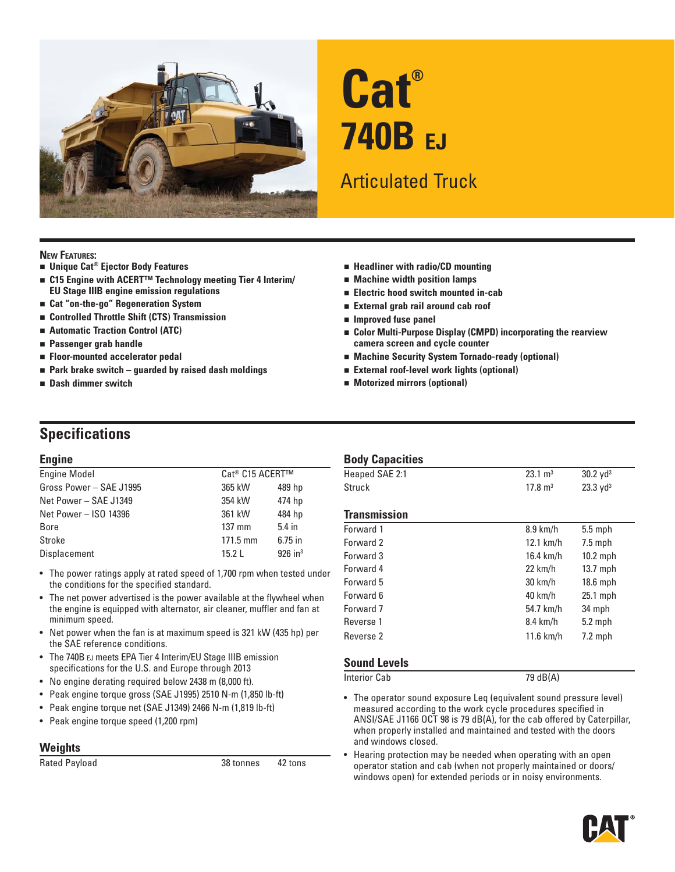

# **Cat® 740B EJ**

# Articulated Truck

#### **NEW FEATURES:**

- **Unique Cat® Ejector Body Features**
- C15 Engine with ACERT<sup>™</sup> Technology meeting Tier 4 Interim/ **EU Stage IIIB engine emission regulations**
- **Cat "on-the-go" Regeneration System**
- **Controlled Throttle Shift (CTS) Transmission**
- **Automatic Traction Control (ATC)**
- **Passenger grab handle**
- **Floor-mounted accelerator pedal**
- **Park brake switch guarded by raised dash moldings**
- **Dash dimmer switch**
- **Headliner with radio/CD mounting**
- **Machine width position lamps**
- **Electric hood switch mounted in-cab**
- **External grab rail around cab roof**
- **Improved fuse panel**
- **Color Multi-Purpose Display (CMPD) incorporating the rearview camera screen and cycle counter**
- **Machine Security System Tornado-ready (optional)**
- **External roof-level work lights (optional)**
- **Motorized mirrors (optional)**

### **Specifications**

#### **Engine**

| <b>Engine Model</b>     | Cat® C15 ACERT™    |                       |
|-------------------------|--------------------|-----------------------|
| Gross Power - SAE J1995 | 365 kW             | 489 hp                |
| Net Power - SAE J1349   | 354 kW             | 474 hp                |
| Net Power - ISO 14396   | 361 kW             | 484 hp                |
| <b>Bore</b>             | $137$ mm           | $5.4$ in              |
| Stroke                  | $171.5 \text{ mm}$ | $6.75$ in             |
| Displacement            | 15.2L              | $926$ in <sup>3</sup> |
|                         |                    |                       |

- The power ratings apply at rated speed of 1,700 rpm when tested under the conditions for the specified standard.
- The net power advertised is the power available at the flywheel when the engine is equipped with alternator, air cleaner, muffler and fan at minimum speed.
- Net power when the fan is at maximum speed is 321 kW (435 hp) per the SAE reference conditions.
- The 740B EJ meets EPA Tier 4 Interim/EU Stage IIIB emission specifications for the U.S. and Europe through 2013
- No engine derating required below 2438 m (8,000 ft).
- Peak engine torque gross (SAE J1995) 2510 N-m (1,850 lb-ft)
- Peak engine torque net (SAE J1349) 2466 N-m (1,819 lb-ft)
- Peak engine torque speed (1,200 rpm)

#### **Weights**

Rated Payload 28 tonnes 28 tonnes 42 tons

#### **Body Capacities**

| Heaped SAE 2:1      | $23.1 \text{ m}^3$ | $30.2$ yd <sup>3</sup> |
|---------------------|--------------------|------------------------|
| Struck              | $17.8 \text{ m}^3$ | $23.3 \text{ yd}^3$    |
|                     |                    |                        |
| <b>Transmission</b> |                    |                        |
| Forward 1           | $8.9$ km/h         | $5.5$ mph              |
| Forward 2           | $12.1$ km/h        | $7.5$ mph              |
| Forward 3           | 16.4 km/h          | $10.2$ mph             |
| Forward 4           | $22 \text{ km/h}$  | $13.7$ mph             |
| Forward 5           | 30 km/h            | 18.6 mph               |
| Forward 6           | $40 \text{ km/h}$  | 25.1 mph               |
| Forward 7           | 54.7 km/h          | 34 mph                 |
| Reverse 1           | 8.4 km/h           | $5.2$ mph              |
| Reverse 2           | $11.6$ km/h        | $7.2$ mph              |
|                     |                    |                        |

#### **Sound Levels**

Interior Cab 79 dB(A)

• The operator sound exposure Leq (equivalent sound pressure level) measured according to the work cycle procedures specified in ANSI/SAE J1166 OCT 98 is 79 dB(A), for the cab offered by Caterpillar, when properly installed and maintained and tested with the doors and windows closed.

Hearing protection may be needed when operating with an open operator station and cab (when not properly maintained or doors/ windows open) for extended periods or in noisy environments.

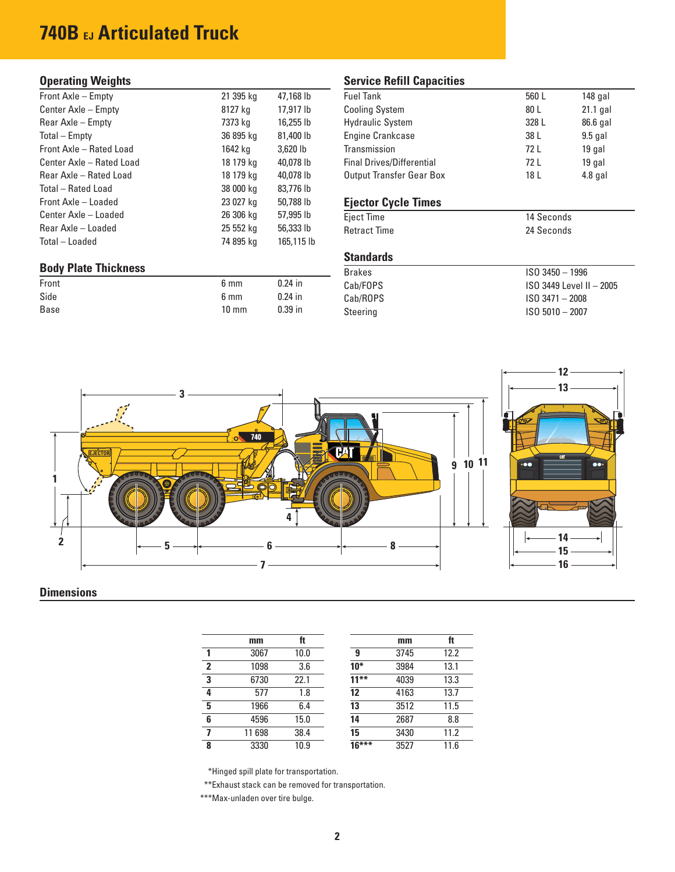## **740B EJ Articulated Truck**

#### **Operating Weights**

| Front Axle - Empty          | 21 395 kg | 47,168 lb  |
|-----------------------------|-----------|------------|
| Center Axle - Empty         | 8127 kg   | 17,917 lb  |
| Rear Axle – Empty           | 7373 kg   | 16,255 lb  |
| Total – Empty               | 36 895 kg | 81,400 lb  |
| Front Axle - Rated Load     | 1642 kg   | 3,620 lb   |
| Center Axle - Rated Load    | 18 179 kg | 40,078 lb  |
| Rear Axle - Rated Load      | 18 179 kg | 40,078 lb  |
| Total – Rated Load          | 38 000 kg | 83,776 lb  |
| Front Axle - Loaded         | 23 027 kg | 50.788 lb  |
| Center Axle - Loaded        | 26 306 kg | 57,995 lb  |
| Rear Axle – Loaded          | 25 552 kg | 56,333 lb  |
| Total – Loaded              | 74 895 kg | 165,115 lb |
|                             |           |            |
| <b>Body Plate Thickness</b> |           |            |
| Front                       | 6 mm      | $0.24$ in  |

Side 6 mm 0.24 in Base 10 mm 0.39 in

#### **Service Refill Capacities**

| <b>Fuel Tank</b>                 | 560 L | $148$ gal |
|----------------------------------|-------|-----------|
| <b>Cooling System</b>            | 80 L  | 21.1 gal  |
| <b>Hydraulic System</b>          | 328 L | 86.6 gal  |
| Engine Crankcase                 | 38 L  | $9.5$ gal |
| Transmission                     | 72 L  | 19 gal    |
| <b>Final Drives/Differential</b> | 72 L  | 19 gal    |
| <b>Output Transfer Gear Box</b>  | 18 L  | $4.8$ gal |
|                                  |       |           |

#### **Ejector Cycle Times**

Eject Time 14 Seconds<br>
Retract Time 24 Seconds **Retract Time** 

#### **Standards**

| <b>Brakes</b> | $ISO$ 3450 $-$ 1996      |
|---------------|--------------------------|
| Cab/FOPS      | ISO 3449 Level II - 2005 |
| Cab/ROPS      | $ISO$ 3471 $-$ 2008      |
| Steering      | $ISO 5010 - 2007$        |



#### **Dimensions**

|   | mm     | ft   |         | mm   | ft   |
|---|--------|------|---------|------|------|
|   | 3067   | 10.0 | 9       | 3745 | 12.2 |
| 2 | 1098   | 3.6  | $10*$   | 3984 | 13.1 |
| 3 | 6730   | 22.1 | $11***$ | 4039 | 13.3 |
| 4 | 577    | 1.8  | 12      | 4163 | 13.7 |
| 5 | 1966   | 6.4  | 13      | 3512 | 11.5 |
| 6 | 4596   | 15.0 | 14      | 2687 | 8.8  |
| 7 | 11 698 | 38.4 | 15      | 3430 | 11.2 |
| 8 | 3330   | 10.9 | $16***$ | 3527 | 11.6 |

\*Hinged spill plate for transportation.

\*\*Exhaust stack can be removed for transportation.

\*\*\*Max-unladen over tire bulge.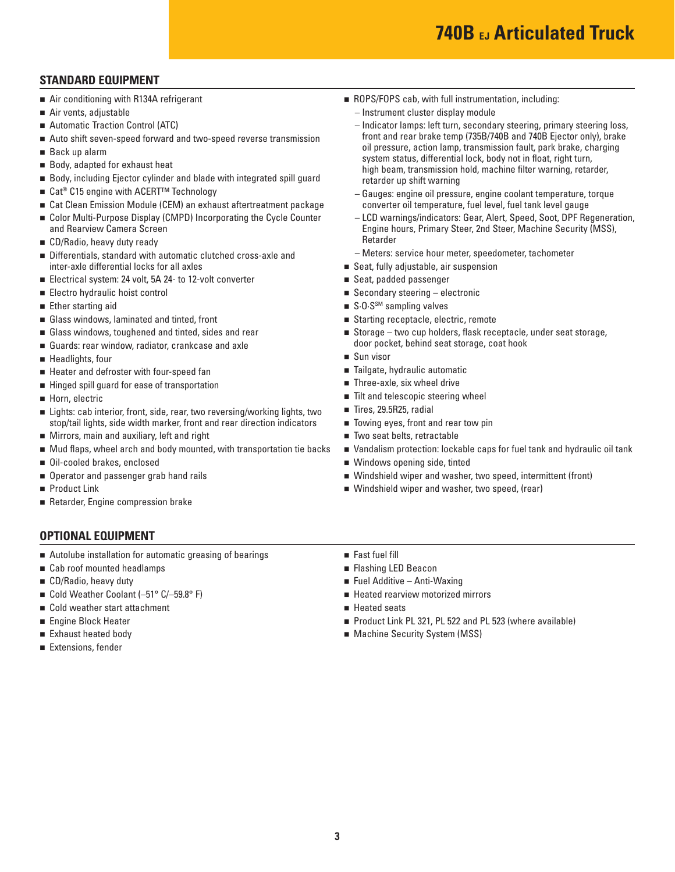# **740B EJ Articulated Truck**

#### **STANDARD EQUIPMENT**

- Air conditioning with R134A refrigerant
- Air vents, adjustable
- Automatic Traction Control (ATC)
- Auto shift seven-speed forward and two-speed reverse transmission
- Back up alarm
- Body, adapted for exhaust heat
- Body, including Ejector cylinder and blade with integrated spill guard
- Cat<sup>®</sup> C15 engine with ACERT<sup>™</sup> Technology
- Cat Clean Emission Module (CEM) an exhaust aftertreatment package
- Color Multi-Purpose Display (CMPD) Incorporating the Cycle Counter and Rearview Camera Screen
- CD/Radio, heavy duty ready
- Differentials, standard with automatic clutched cross-axle and inter-axle differential locks for all axles
- Electrical system: 24 volt, 5A 24- to 12-volt converter
- Electro hydraulic hoist control
- **Ether starting aid**
- Glass windows, laminated and tinted, front
- Glass windows, toughened and tinted, sides and rear
- Guards: rear window, radiator, crankcase and axle
- Headlights, four
- Heater and defroster with four-speed fan
- Hinged spill guard for ease of transportation
- Horn, electric
- Lights: cab interior, front, side, rear, two reversing/working lights, two stop/tail lights, side width marker, front and rear direction indicators
- **Mirrors, main and auxiliary, left and right**
- $\blacksquare$  Mud flaps, wheel arch and body mounted, with transportation tie backs
- Oil-cooled brakes, enclosed
- Operator and passenger grab hand rails
- Product Link
- Retarder, Engine compression brake

#### **OPTIONAL EQUIPMENT**

- Autolube installation for automatic greasing of bearings
- Cab roof mounted headlamps
- CD/Radio, heavy duty
- Cold Weather Coolant  $(-51^{\circ} C/-59.8^{\circ} F)$
- Cold weather start attachment
- **Engine Block Heater**
- Exhaust heated body
- Extensions, fender
- ROPS/FOPS cab, with full instrumentation, including:
	- Instrument cluster display module
	- Indicator lamps: left turn, secondary steering, primary steering loss, front and rear brake temp (735B/740B and 740B Ejector only), brake oil pressure, action lamp, transmission fault, park brake, charging system status, differential lock, body not in float, right turn, high beam, transmission hold, machine filter warning, retarder, retarder up shift warning
	- Gauges: engine oil pressure, engine coolant temperature, torque converter oil temperature, fuel level, fuel tank level gauge
	- LCD warnings/indicators: Gear, Alert, Speed, Soot, DPF Regeneration, Engine hours, Primary Steer, 2nd Steer, Machine Security (MSS), Retarder
	- Meters: service hour meter, speedometer, tachometer
- Seat, fully adjustable, air suspension
- Seat, padded passenger
- $\blacksquare$  Secondary steering electronic
- $\blacksquare$  S.O.S<sup>SM</sup> sampling valves
- Starting receptacle, electric, remote
- Storage two cup holders, flask receptacle, under seat storage, door pocket, behind seat storage, coat hook
- Sun visor
- Tailgate, hydraulic automatic
- Three-axle, six wheel drive
- $\blacksquare$  Tilt and telescopic steering wheel
- Tires, 29.5R25, radial
- Towing eyes, front and rear tow pin
- Two seat belts, retractable
- Vandalism protection: lockable caps for fuel tank and hydraulic oil tank
- Windows opening side, tinted
- Windshield wiper and washer, two speed, intermittent (front)
- Windshield wiper and washer, two speed, (rear)
- Fast fuel fill
- **Flashing LED Beacon**
- $\blacksquare$  Fuel Additive Anti-Waxing
- **Heated rearview motorized mirrors**
- Heated seats
- Product Link PL 321, PL 522 and PL 523 (where available)
- **Machine Security System (MSS)**